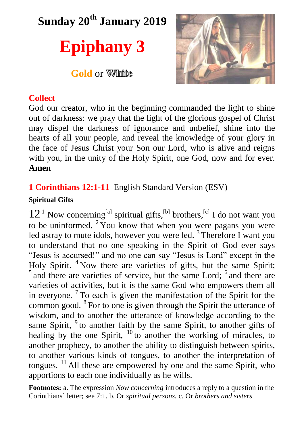**Sunday 20 th January 2019**

# **Epiphany 3**

**Gold** or *White* 



## **Collect**

God our creator, who in the beginning commanded the light to shine out of darkness: we pray that the light of the glorious gospel of Christ may dispel the darkness of ignorance and unbelief, shine into the hearts of all your people, and reveal the knowledge of your glory in the face of Jesus Christ your Son our Lord, who is alive and reigns with you, in the unity of the Holy Spirit, one God, now and for ever. **Amen**

# **1 Corinthians 12:1-11** English Standard Version (ESV)

## **Spiritual Gifts**

 $12<sup>1</sup>$  Now concerning<sup>[a]</sup> spiritual gifts,<sup>[b]</sup> brothers,<sup>[c]</sup> I do not want you to be uninformed.  $2 \overline{Y}$  You know that when you were pagans you were led astray to mute idols, however you were led.<sup>3</sup> Therefore I want you to understand that no one speaking in the Spirit of God ever says "Jesus is accursed!" and no one can say "Jesus is Lord" except in the Holy Spirit. <sup>4</sup> Now there are varieties of gifts, but the same Spirit; <sup>5</sup> and there are varieties of service, but the same Lord; <sup>6</sup> and there are varieties of activities, but it is the same God who empowers them all in everyone.  $7$  To each is given the manifestation of the Spirit for the common good. <sup>8</sup> For to one is given through the Spirit the utterance of wisdom, and to another the utterance of knowledge according to the same Spirit,  $9$  to another faith by the same Spirit, to another gifts of healing by the one Spirit,  $^{10}$  to another the working of miracles, to another prophecy, to another the ability to distinguish between spirits, to another various kinds of tongues, to another the interpretation of tongues.  $^{11}$  All these are empowered by one and the same Spirit, who apportions to each one individually as he wills.

**Footnotes:** a. The expression *Now concerning* introduces a reply to a question in the Corinthians' letter; see 7:1. b. Or *spiritual persons.* c. Or *brothers and sisters*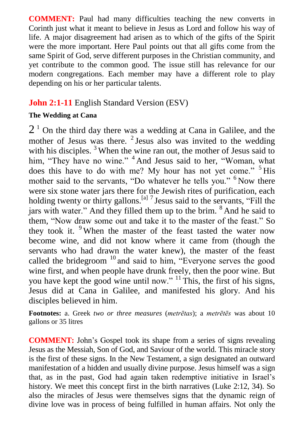**COMMENT:** Paul had many difficulties teaching the new converts in Corinth just what it meant to believe in Jesus as Lord and follow his way of life. A major disagreement had arisen as to which of the gifts of the Spirit were the more important. Here Paul points out that all gifts come from the same Spirit of God, serve different purposes in the Christian community, and yet contribute to the common good. The issue still has relevance for our modern congregations. Each member may have a different role to play depending on his or her particular talents.

## **John 2:1-11** English Standard Version (ESV)

#### **The Wedding at Cana**

 $2<sup>1</sup>$  On the third day there was a wedding at Cana in Galilee, and the mother of Jesus was there.  $2$  Jesus also was invited to the wedding with his disciples.<sup>3</sup> When the wine ran out, the mother of Jesus said to him, "They have no wine." <sup>4</sup> And Jesus said to her, "Woman, what does this have to do with me? My hour has not yet come." <sup>5</sup> His mother said to the servants. "Do whatever he tells you." <sup>6</sup> Now there were six stone water jars there for the Jewish rites of purification, each holding twenty or thirty gallons.<sup>[a] 7</sup> Jesus said to the servants, "Fill the jars with water." And they filled them up to the brim. <sup>8</sup> And he said to them, "Now draw some out and take it to the master of the feast." So they took it. <sup>9</sup> When the master of the feast tasted the water now become wine, and did not know where it came from (though the servants who had drawn the water knew), the master of the feast called the bridegroom  $10$  and said to him, "Everyone serves the good wine first, and when people have drunk freely, then the poor wine. But you have kept the good wine until now." <sup>11</sup> This, the first of his signs, Jesus did at Cana in Galilee, and manifested his glory. And his disciples believed in him.

**Footnotes:** a. Greek *two or three measures* (*metrētas*); a *metrētēs* was about 10 gallons or 35 litres

**COMMENT:** John's Gospel took its shape from a series of signs revealing Jesus as the Messiah, Son of God, and Saviour of the world. This miracle story is the first of these signs. In the New Testament, a sign designated an outward manifestation of a hidden and usually divine purpose. Jesus himself was a sign that, as in the past, God had again taken redemptive initiative in Israel's history. We meet this concept first in the birth narratives (Luke 2:12, 34). So also the miracles of Jesus were themselves signs that the dynamic reign of divine love was in process of being fulfilled in human affairs. Not only the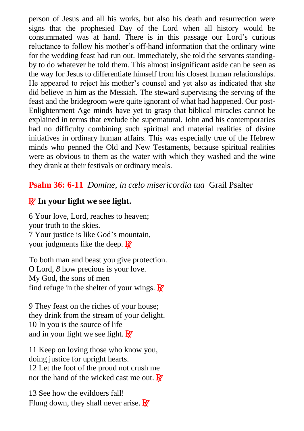person of Jesus and all his works, but also his death and resurrection were signs that the prophesied Day of the Lord when all history would be consummated was at hand. There is in this passage our Lord's curious reluctance to follow his mother's off-hand information that the ordinary wine for the wedding feast had run out. Immediately, she told the servants standingby to do whatever he told them. This almost insignificant aside can be seen as the way for Jesus to differentiate himself from his closest human relationships. He appeared to reject his mother's counsel and yet also as indicated that she did believe in him as the Messiah. The steward supervising the serving of the feast and the bridegroom were quite ignorant of what had happened. Our post-Enlightenment Age minds have yet to grasp that biblical miracles cannot be explained in terms that exclude the supernatural. John and his contemporaries had no difficulty combining such spiritual and material realities of divine initiatives in ordinary human affairs. This was especially true of the Hebrew minds who penned the Old and New Testaments, because spiritual realities were as obvious to them as the water with which they washed and the wine they drank at their festivals or ordinary meals.

## **Psalm 36: 6-11** *Domine, in cælo misericordia tua* Grail Psalter

# R **In your light we see light.**

6 Your love, Lord, reaches to heaven; your truth to the skies. 7 Your justice is like God's mountain, your judgments like the deep.  $\mathbb{R}^7$ 

To both man and beast you give protection. O Lord, *8* how precious is your love. My God, the sons of men find refuge in the shelter of your wings.  $\mathbf{R}^{\prime}$ 

9 They feast on the riches of your house; they drink from the stream of your delight. 10 In you is the source of life and in your light we see light.  $\overline{\mathbf{R}}$ 

11 Keep on loving those who know you, doing justice for upright hearts. 12 Let the foot of the proud not crush me nor the hand of the wicked cast me out.  $\mathbf{R}^{\prime}$ 

13 See how the evildoers fall! Flung down, they shall never arise.  $\mathbf{R}^{\prime}$